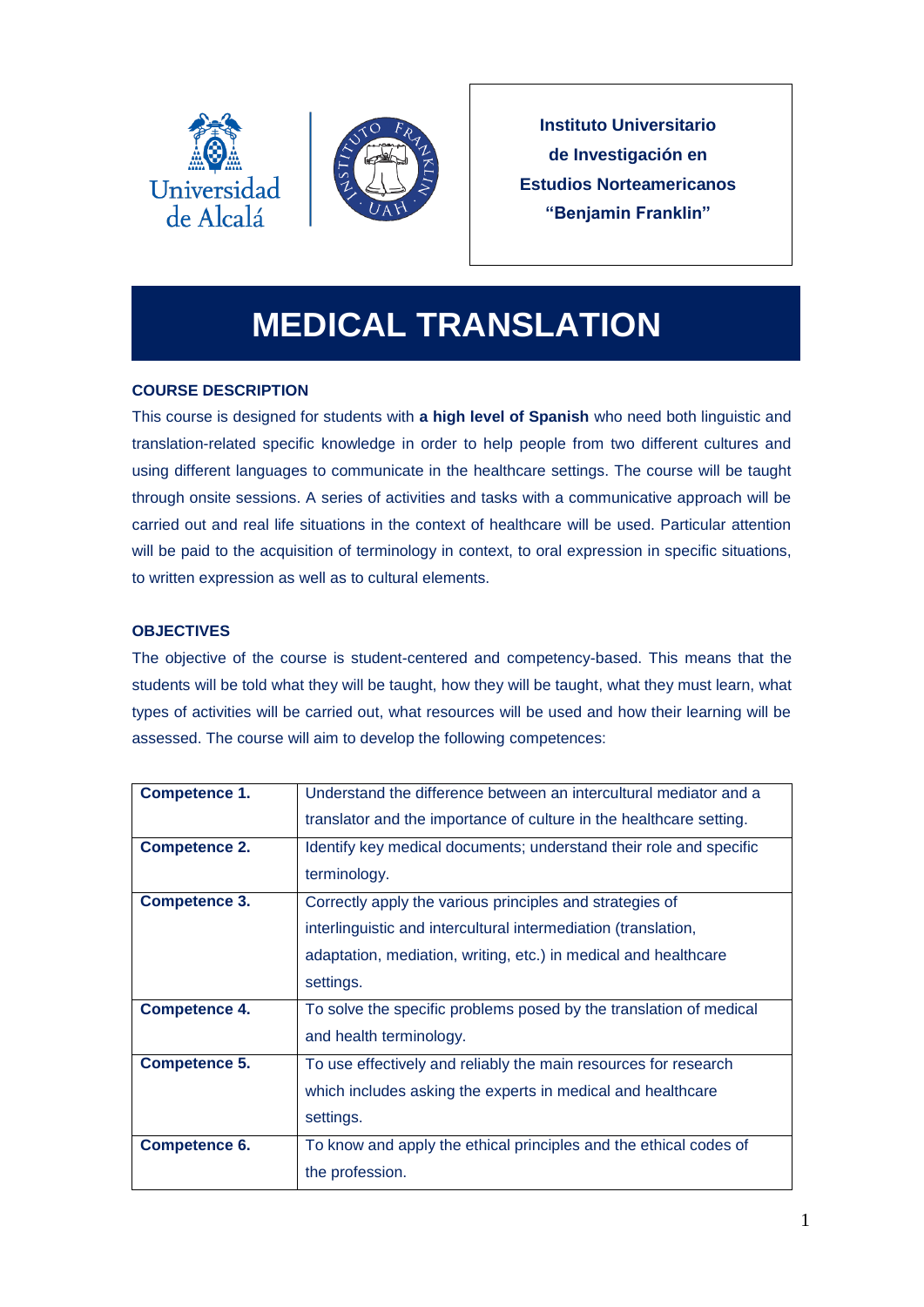



**Instituto Universitario de Investigación en Estudios Norteamericanos "Benjamin Franklin"**

# **MEDICAL TRANSLATION**

## **COURSE DESCRIPTION**

This course is designed for students with **a high level of Spanish** who need both linguistic and translation-related specific knowledge in order to help people from two different cultures and using different languages to communicate in the healthcare settings. The course will be taught through onsite sessions. A series of activities and tasks with a communicative approach will be carried out and real life situations in the context of healthcare will be used. Particular attention will be paid to the acquisition of terminology in context, to oral expression in specific situations, to written expression as well as to cultural elements.

## **OBJECTIVES**

The objective of the course is student-centered and competency-based. This means that the students will be told what they will be taught, how they will be taught, what they must learn, what types of activities will be carried out, what resources will be used and how their learning will be assessed. The course will aim to develop the following competences:

| Competence 1.        | Understand the difference between an intercultural mediator and a   |
|----------------------|---------------------------------------------------------------------|
|                      | translator and the importance of culture in the healthcare setting. |
| <b>Competence 2.</b> | Identify key medical documents; understand their role and specific  |
|                      | terminology.                                                        |
| <b>Competence 3.</b> | Correctly apply the various principles and strategies of            |
|                      | interlinguistic and intercultural intermediation (translation,      |
|                      | adaptation, mediation, writing, etc.) in medical and healthcare     |
|                      | settings.                                                           |
| <b>Competence 4.</b> | To solve the specific problems posed by the translation of medical  |
|                      | and health terminology.                                             |
| <b>Competence 5.</b> | To use effectively and reliably the main resources for research     |
|                      | which includes asking the experts in medical and healthcare         |
|                      | settings.                                                           |
| Competence 6.        | To know and apply the ethical principles and the ethical codes of   |
|                      | the profession.                                                     |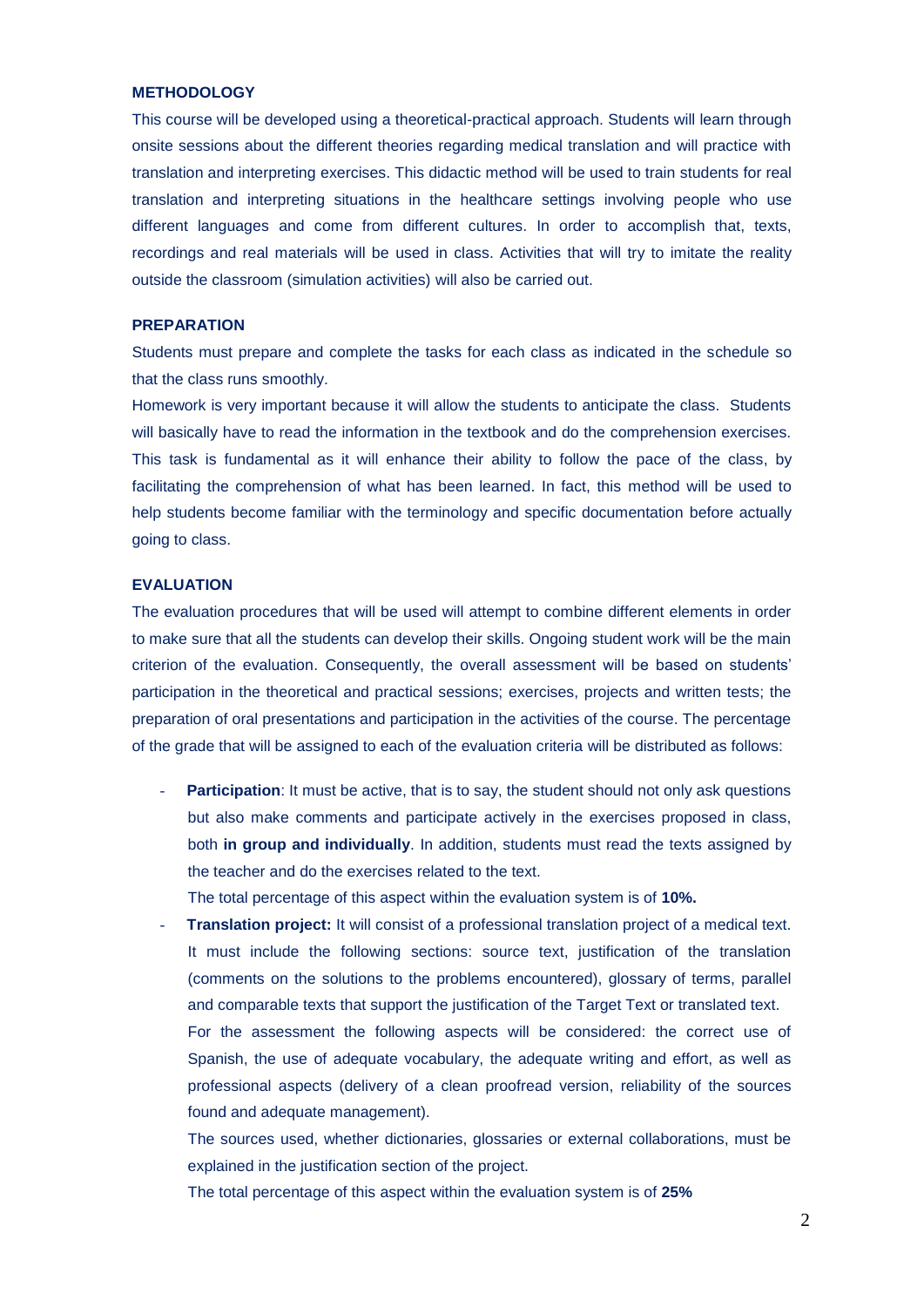## **METHODOLOGY**

This course will be developed using a theoretical-practical approach. Students will learn through onsite sessions about the different theories regarding medical translation and will practice with translation and interpreting exercises. This didactic method will be used to train students for real translation and interpreting situations in the healthcare settings involving people who use different languages and come from different cultures. In order to accomplish that, texts, recordings and real materials will be used in class. Activities that will try to imitate the reality outside the classroom (simulation activities) will also be carried out.

#### **PREPARATION**

Students must prepare and complete the tasks for each class as indicated in the schedule so that the class runs smoothly.

Homework is very important because it will allow the students to anticipate the class. Students will basically have to read the information in the textbook and do the comprehension exercises. This task is fundamental as it will enhance their ability to follow the pace of the class, by facilitating the comprehension of what has been learned. In fact, this method will be used to help students become familiar with the terminology and specific documentation before actually going to class.

### **EVALUATION**

The evaluation procedures that will be used will attempt to combine different elements in order to make sure that all the students can develop their skills. Ongoing student work will be the main criterion of the evaluation. Consequently, the overall assessment will be based on students' participation in the theoretical and practical sessions; exercises, projects and written tests; the preparation of oral presentations and participation in the activities of the course. The percentage of the grade that will be assigned to each of the evaluation criteria will be distributed as follows:

**Participation:** It must be active, that is to say, the student should not only ask questions but also make comments and participate actively in the exercises proposed in class, both **in group and individually**. In addition, students must read the texts assigned by the teacher and do the exercises related to the text.

The total percentage of this aspect within the evaluation system is of **10%.**

- **Translation project:** It will consist of a professional translation project of a medical text. It must include the following sections: source text, justification of the translation (comments on the solutions to the problems encountered), glossary of terms, parallel and comparable texts that support the justification of the Target Text or translated text.

For the assessment the following aspects will be considered: the correct use of Spanish, the use of adequate vocabulary, the adequate writing and effort, as well as professional aspects (delivery of a clean proofread version, reliability of the sources found and adequate management).

The sources used, whether dictionaries, glossaries or external collaborations, must be explained in the justification section of the project.

The total percentage of this aspect within the evaluation system is of **25%**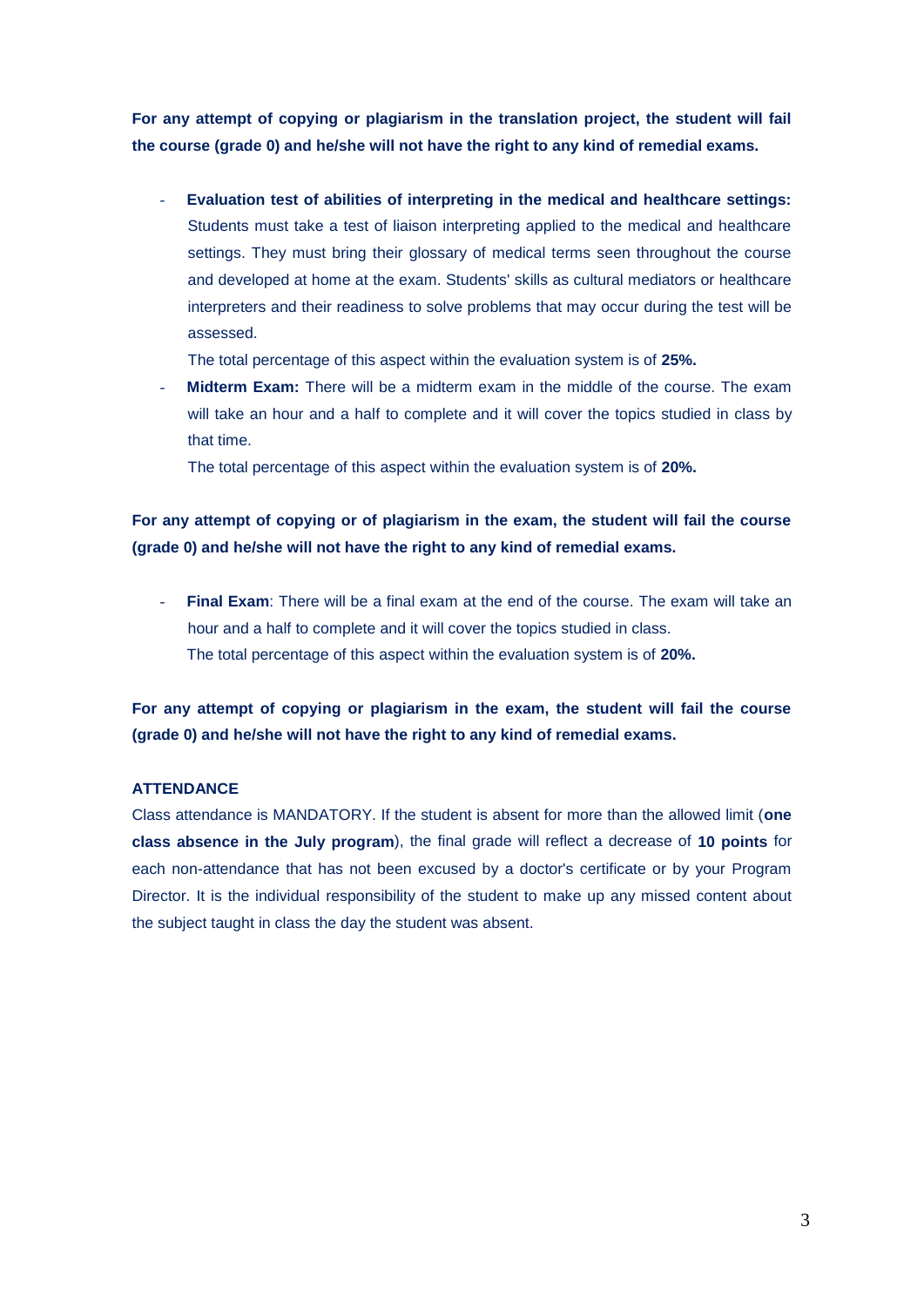**For any attempt of copying or plagiarism in the translation project, the student will fail the course (grade 0) and he/she will not have the right to any kind of remedial exams.**

- **Evaluation test of abilities of interpreting in the medical and healthcare settings:**  Students must take a test of liaison interpreting applied to the medical and healthcare settings. They must bring their glossary of medical terms seen throughout the course and developed at home at the exam. Students' skills as cultural mediators or healthcare interpreters and their readiness to solve problems that may occur during the test will be assessed.

The total percentage of this aspect within the evaluation system is of **25%.**

- **Midterm Exam:** There will be a midterm exam in the middle of the course. The exam will take an hour and a half to complete and it will cover the topics studied in class by that time.

The total percentage of this aspect within the evaluation system is of **20%.** 

## **For any attempt of copying or of plagiarism in the exam, the student will fail the course (grade 0) and he/she will not have the right to any kind of remedial exams.**

**Final Exam:** There will be a final exam at the end of the course. The exam will take an hour and a half to complete and it will cover the topics studied in class. The total percentage of this aspect within the evaluation system is of **20%.** 

**For any attempt of copying or plagiarism in the exam, the student will fail the course (grade 0) and he/she will not have the right to any kind of remedial exams.**

## **ATTENDANCE**

Class attendance is MANDATORY. If the student is absent for more than the allowed limit (**one class absence in the July program**), the final grade will reflect a decrease of **10 points** for each non-attendance that has not been excused by a doctor's certificate or by your Program Director. It is the individual responsibility of the student to make up any missed content about the subject taught in class the day the student was absent.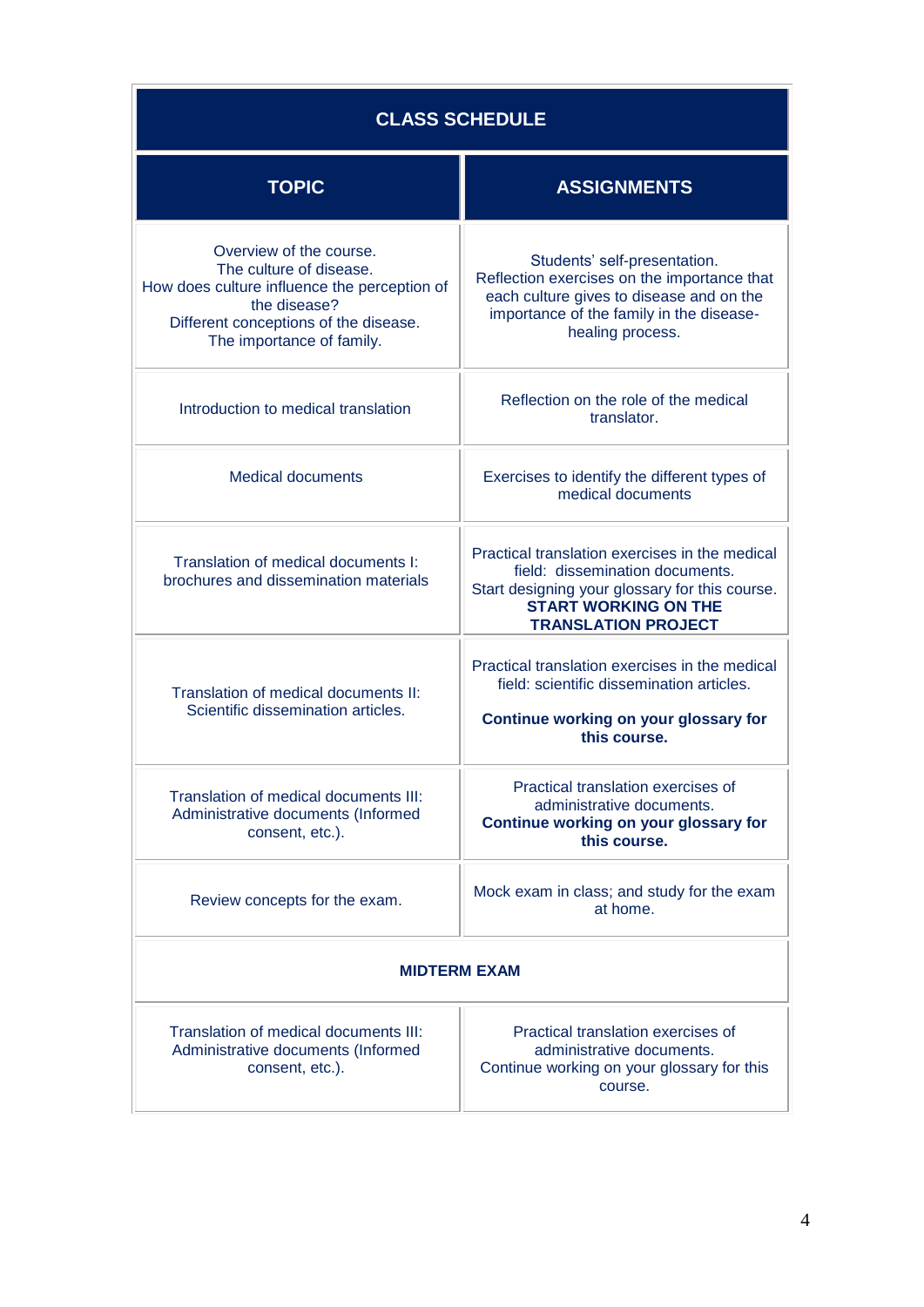| <b>CLASS SCHEDULE</b>                                                                                                                                                                    |                                                                                                                                                                                                  |  |  |
|------------------------------------------------------------------------------------------------------------------------------------------------------------------------------------------|--------------------------------------------------------------------------------------------------------------------------------------------------------------------------------------------------|--|--|
| <b>TOPIC</b>                                                                                                                                                                             | <b>ASSIGNMENTS</b>                                                                                                                                                                               |  |  |
| Overview of the course.<br>The culture of disease.<br>How does culture influence the perception of<br>the disease?<br>Different conceptions of the disease.<br>The importance of family. | Students' self-presentation.<br>Reflection exercises on the importance that<br>each culture gives to disease and on the<br>importance of the family in the disease-<br>healing process.          |  |  |
| Introduction to medical translation                                                                                                                                                      | Reflection on the role of the medical<br>translator.                                                                                                                                             |  |  |
| <b>Medical documents</b>                                                                                                                                                                 | Exercises to identify the different types of<br>medical documents                                                                                                                                |  |  |
| Translation of medical documents I:<br>brochures and dissemination materials                                                                                                             | Practical translation exercises in the medical<br>field: dissemination documents.<br>Start designing your glossary for this course.<br><b>START WORKING ON THE</b><br><b>TRANSLATION PROJECT</b> |  |  |
| Translation of medical documents II:<br>Scientific dissemination articles.                                                                                                               | Practical translation exercises in the medical<br>field: scientific dissemination articles.<br>Continue working on your glossary for<br>this course.                                             |  |  |
| Translation of medical documents III:<br>Administrative documents (Informed<br>consent, etc.).                                                                                           | Practical translation exercises of<br>administrative documents.<br>Continue working on your glossary for<br>this course.                                                                         |  |  |
| Review concepts for the exam.                                                                                                                                                            | Mock exam in class; and study for the exam<br>at home.                                                                                                                                           |  |  |
| <b>MIDTERM EXAM</b>                                                                                                                                                                      |                                                                                                                                                                                                  |  |  |
| Translation of medical documents III:<br>Administrative documents (Informed<br>consent, etc.).                                                                                           | Practical translation exercises of<br>administrative documents.<br>Continue working on your glossary for this<br>course.                                                                         |  |  |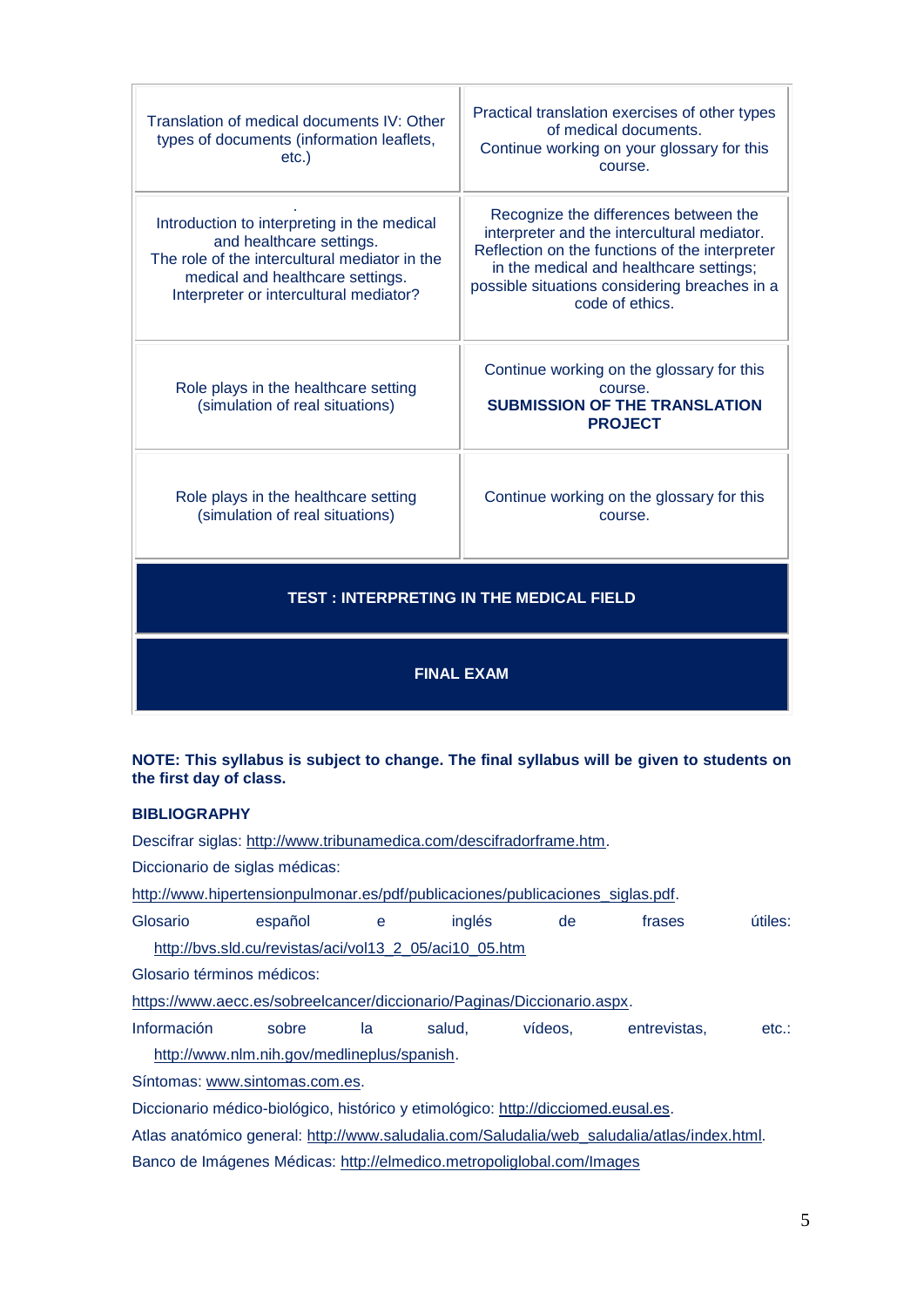| Translation of medical documents IV: Other<br>types of documents (information leaflets,<br>$etc.$ )                                                                                                    | Practical translation exercises of other types<br>of medical documents.<br>Continue working on your glossary for this<br>course.                                                                                                                      |  |
|--------------------------------------------------------------------------------------------------------------------------------------------------------------------------------------------------------|-------------------------------------------------------------------------------------------------------------------------------------------------------------------------------------------------------------------------------------------------------|--|
| Introduction to interpreting in the medical<br>and healthcare settings.<br>The role of the intercultural mediator in the<br>medical and healthcare settings.<br>Interpreter or intercultural mediator? | Recognize the differences between the<br>interpreter and the intercultural mediator.<br>Reflection on the functions of the interpreter<br>in the medical and healthcare settings;<br>possible situations considering breaches in a<br>code of ethics. |  |
| Role plays in the healthcare setting<br>(simulation of real situations)                                                                                                                                | Continue working on the glossary for this<br>course.<br><b>SUBMISSION OF THE TRANSLATION</b><br><b>PROJECT</b>                                                                                                                                        |  |
| Role plays in the healthcare setting<br>(simulation of real situations)                                                                                                                                | Continue working on the glossary for this<br>course.                                                                                                                                                                                                  |  |
| <b>TEST: INTERPRETING IN THE MEDICAL FIELD</b>                                                                                                                                                         |                                                                                                                                                                                                                                                       |  |
| <b>FINAL EXAM</b>                                                                                                                                                                                      |                                                                                                                                                                                                                                                       |  |

## **NOTE: This syllabus is subject to change. The final syllabus will be given to students on the first day of class.**

## **BIBLIOGRAPHY**

Descifrar siglas: [http://www.tribunamedica.com/descifradorframe.htm.](http://www.tribunamedica.com/descifradorframe.htm)

Diccionario de siglas médicas:

[http://www.hipertensionpulmonar.es/pdf/publicaciones/publicaciones\\_siglas.pdf.](http://www.hipertensionpulmonar.es/pdf/publicaciones/publicaciones_siglas.pdf)

Glosario español e inglés de frases útiles: [http://bvs.sld.cu/revistas/aci/vol13\\_2\\_05/aci10\\_05.htm](http://bvs.sld.cu/revistas/aci/vol13_2_05/aci10_05.htm)

Glosario términos médicos:

[https://www.aecc.es/sobreelcancer/diccionario/Paginas/Diccionario.aspx.](https://www.aecc.es/sobreelcancer/diccionario/Paginas/Diccionario.aspx)

Información sobre la salud, vídeos, entrevistas, etc.:

[http://www.nlm.nih.gov/medlineplus/spanish.](http://www.nlm.nih.gov/medlineplus/spanish)

Síntomas: [www.sintomas.com.es.](http://www.sintomas.com.es/)

Diccionario médico-biológico, histórico y etimológico: [http://dicciomed.eusal.es.](http://dicciomed.eusal.es/)

Atlas anatómico general: [http://www.saludalia.com/Saludalia/web\\_saludalia/atlas/index.html.](http://www.saludalia.com/Saludalia/web_saludalia/atlas/index.html)

Banco de Imágenes Médicas:<http://elmedico.metropoliglobal.com/Images>